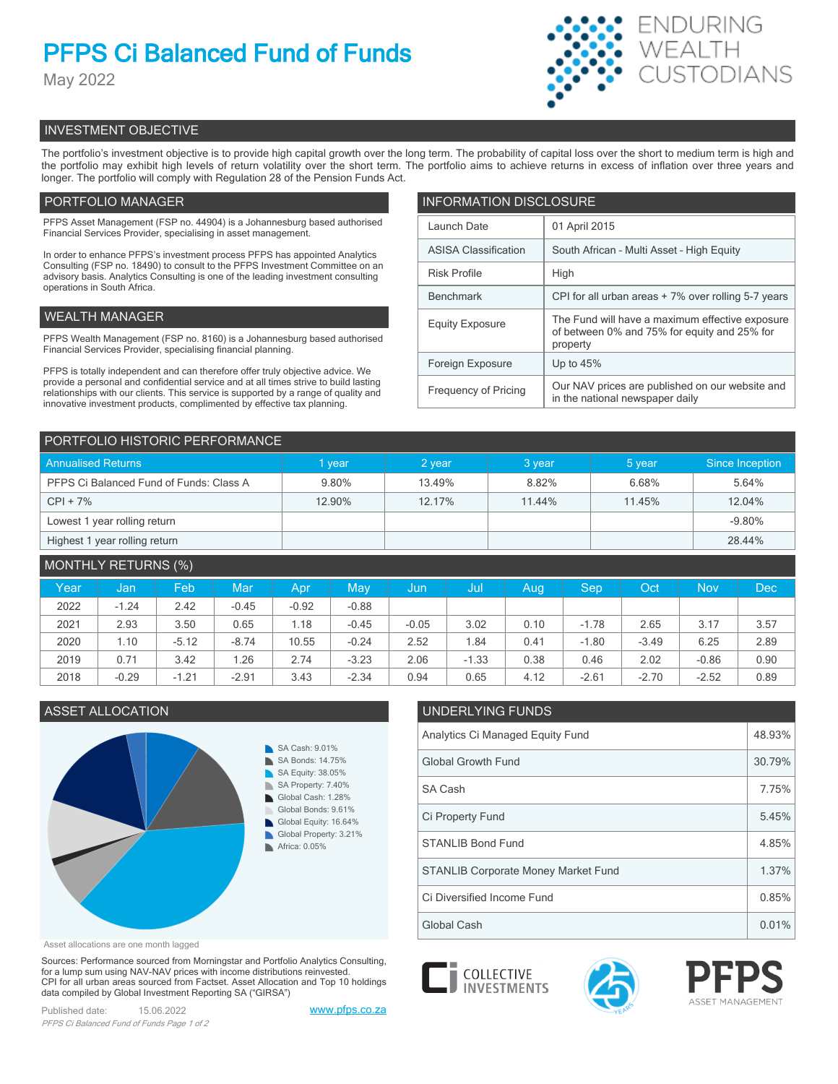# **PFPS Ci Balanced Fund of Funds**

May 2022



# INVESTMENT OBJECTIVE

The portfolio's investment objective is to provide high capital growth over the long term. The probability of capital loss over the short to medium term is high and the portfolio may exhibit high levels of return volatility over the short term. The portfolio aims to achieve returns in excess of inflation over three years and longer. The portfolio will comply with Regulation 28 of the Pension Funds Act.

# PORTFOLIO MANAGER

PFPS Asset Management (FSP no. 44904) is a Johannesburg based authorised Financial Services Provider, specialising in asset management.

In order to enhance PFPS's investment process PFPS has appointed Analytics Consulting (FSP no. 18490) to consult to the PFPS Investment Committee on an advisory basis. Analytics Consulting is one of the leading investment consulting operations in South Africa.

# WEALTH MANAGER

PFPS Wealth Management (FSP no. 8160) is a Johannesburg based authorised Financial Services Provider, specialising financial planning.

PFPS is totally independent and can therefore offer truly objective advice. We provide a personal and confidential service and at all times strive to build lasting relationships with our clients. This service is supported by a range of quality and innovative investment products, complimented by effective tax planning.

| <b>INFORMATION DISCLOSURE</b> |                                                                                                             |  |  |  |  |
|-------------------------------|-------------------------------------------------------------------------------------------------------------|--|--|--|--|
| Launch Date                   | 01 April 2015                                                                                               |  |  |  |  |
| <b>ASISA Classification</b>   | South African - Multi Asset - High Equity                                                                   |  |  |  |  |
| <b>Risk Profile</b>           | High                                                                                                        |  |  |  |  |
| <b>Benchmark</b>              | CPI for all urban areas + 7% over rolling 5-7 years                                                         |  |  |  |  |
| <b>Equity Exposure</b>        | The Fund will have a maximum effective exposure<br>of between 0% and 75% for equity and 25% for<br>property |  |  |  |  |
| Foreign Exposure              | Up to $45%$                                                                                                 |  |  |  |  |
| <b>Frequency of Pricing</b>   | Our NAV prices are published on our website and<br>in the national newspaper daily                          |  |  |  |  |

| PORTFOLIO HISTORIC PERFORMANCE          |        |        |        |        |                 |  |
|-----------------------------------------|--------|--------|--------|--------|-----------------|--|
| <b>Annualised Returns</b>               | I year | 2 year | 3 year | 5 year | Since Inception |  |
| PFPS Ci Balanced Fund of Funds: Class A | 9.80%  | 13.49% | 8.82%  | 6.68%  | 5.64%           |  |
| $CPI + 7%$                              | 12.90% | 12.17% | 11.44% | 11.45% | 12.04%          |  |
| Lowest 1 year rolling return            |        |        |        |        | $-9.80\%$       |  |
| Highest 1 year rolling return           |        |        |        |        | 28.44%          |  |

| MONTHLY RETURNS (%) |         |         |            |         |         |         |         |      |         |         |            |            |
|---------------------|---------|---------|------------|---------|---------|---------|---------|------|---------|---------|------------|------------|
| Year                | Jan     | Feb     | <b>Mar</b> | Apr     | May     | Jun     | Jul     | Aug  | Sep     | Oct     | <b>Nov</b> | <b>Dec</b> |
| 2022                | $-1.24$ | 2.42    | $-0.45$    | $-0.92$ | $-0.88$ |         |         |      |         |         |            |            |
| 2021                | 2.93    | 3.50    | 0.65       | l.18    | $-0.45$ | $-0.05$ | 3.02    | 0.10 | $-1.78$ | 2.65    | 3.17       | 3.57       |
| 2020                | 1.10    | $-5.12$ | $-8.74$    | 10.55   | $-0.24$ | 2.52    | 1.84    | 0.41 | $-1.80$ | $-3.49$ | 6.25       | 2.89       |
| 2019                | 0.71    | 3.42    | 1.26       | 2.74    | $-3.23$ | 2.06    | $-1.33$ | 0.38 | 0.46    | 2.02    | $-0.86$    | 0.90       |
| 2018                | $-0.29$ | $-1.21$ | $-2.91$    | 3.43    | $-2.34$ | 0.94    | 0.65    | 4.12 | $-2.61$ | $-2.70$ | $-2.52$    | 0.89       |



### Asset allocations are one month lagged

Sources: Performance sourced from Morningstar and Portfolio Analytics Consulting, for a lump sum using NAV-NAV prices with income distributions reinvested. CPI for all urban areas sourced from Factset. Asset Allocation and Top 10 holdings data compiled by Global Investment Reporting SA ("GIRSA")

Published date: 15.06.2022 [www.pfps.co.za](https://www.pfps.co.za/) *PFPS Ci Balanced Fund of Funds Page 1 of 2*

# ASSET ALLOCATION UNDERLYING FUNDS

| Analytics Ci Managed Equity Fund           |        |  |
|--------------------------------------------|--------|--|
| <b>Global Growth Fund</b>                  | 30.79% |  |
| SA Cash                                    | 7.75%  |  |
| Ci Property Fund                           | 5.45%  |  |
| <b>STANLIB Bond Fund</b>                   | 4.85%  |  |
| <b>STANLIB Corporate Money Market Fund</b> | 1.37%  |  |
| Ci Diversified Income Fund                 | 0.85%  |  |
| Global Cash                                | 0.01%  |  |